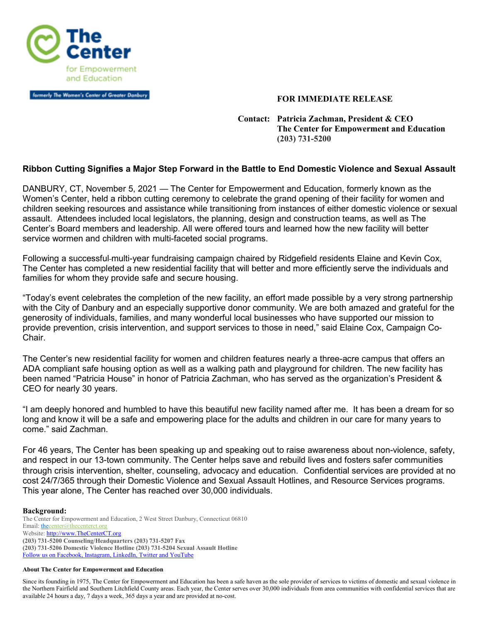

formerly The Women's Center of Greater Danbury

## **FOR IMMEDIATE RELEASE**

 **Contact: Patricia Zachman, President & CEO The Center for Empowerment and Education (203) 731-5200** 

## **Ribbon Cutting Signifies a Major Step Forward in the Battle to End Domestic Violence and Sexual Assault**

DANBURY, CT, November 5, 2021 — The Center for Empowerment and Education, formerly known as the Women's Center, held a ribbon cutting ceremony to celebrate the grand opening of their facility for women and children seeking resources and assistance while transitioning from instances of either domestic violence or sexual assault. Attendees included local legislators, the planning, design and construction teams, as well as The Center's Board members and leadership. All were offered tours and learned how the new facility will better service wormen and children with multi-faceted social programs.

Following a successful multi-year fundraising campaign chaired by Ridgefield residents Elaine and Kevin Cox, The Center has completed a new residential facility that will better and more efficiently serve the individuals and families for whom they provide safe and secure housing.

"Today's event celebrates the completion of the new facility, an effort made possible by a very strong partnership with the City of Danbury and an especially supportive donor community. We are both amazed and grateful for the generosity of individuals, families, and many wonderful local businesses who have supported our mission to provide prevention, crisis intervention, and support services to those in need," said Elaine Cox, Campaign Co-Chair.

The Center's new residential facility for women and children features nearly a three-acre campus that offers an ADA compliant safe housing option as well as a walking path and playground for children. The new facility has been named "Patricia House" in honor of Patricia Zachman, who has served as the organization's President & CEO for nearly 30 years.

"I am deeply honored and humbled to have this beautiful new facility named after me. It has been a dream for so long and know it will be a safe and empowering place for the adults and children in our care for many years to come." said Zachman.

For 46 years, The Center has been speaking up and speaking out to raise awareness about non-violence, safety, and respect in our 13-town community. The Center helps save and rebuild lives and fosters safer communities through crisis intervention, shelter, counseling, advocacy and education. Confidential services are provided at no cost 24/7/365 through their Domestic Violence and Sexual Assault Hotlines, and Resource Services programs. This year alone, The Center has reached over 30,000 individuals.

## **Background:**

The Center for Empowerment and Education, 2 West Street Danbury, Connecticut 06810 Email: thecenter@thecenterct.org Website: http://www.TheCenterCT.org **(203) 731-5200 Counseling/Headquarters (203) 731-5207 Fax (203) 731-5206 Domestic Violence Hotline (203) 731-5204 Sexual Assault Hotline**  Follow us on Facebook, Instagram, LinkedIn, Twitter and YouTube

## **About The Center for Empowerment and Education**

Since its founding in 1975, The Center for Empowerment and Education has been a safe haven as the sole provider of services to victims of domestic and sexual violence in the Northern Fairfield and Southern Litchfield County areas. Each year, the Center serves over 30,000 individuals from area communities with confidential services that are available 24 hours a day, 7 days a week, 365 days a year and are provided at no-cost.